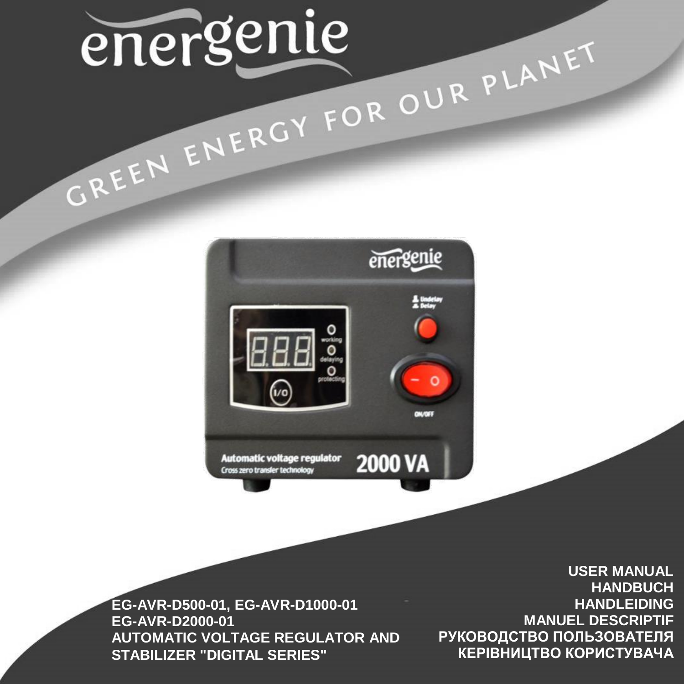# energenie CREEN ENERGY FOR OUR PLANET



**EG-AVR-D500-01, EG-AVR-D1000-01 EG-AVR-D2000-01 AUTOMATIC VOLTAGE REGULATOR AND STABILIZER "DIGITAL SERIES"**

**USER MANUAL HANDBUCH HANDLEIDING MANUEL DESCRIPTIF РУКОВОДСТВО ПОЛЬЗОВАТЕЛЯ КЕРІВНИЦТВО КОРИСТУВАЧА**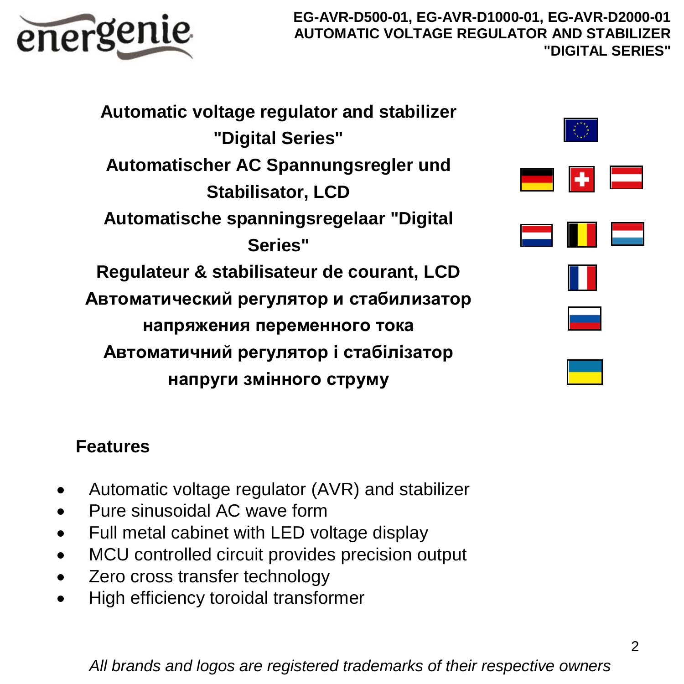

**Automatic voltage regulator and stabilizer "Digital Series" Automatischer AC Spannungsregler und Stabilisator, LCD Automatische spanningsregelaar "Digital Series" Regulateur & stabilisateur de courant, LCD Автоматический регулятор и стабилизатор напряжения переменного тока Автоматичний регулятор і стабілізатор напруги змінного струму**



# **Features**

- Automatic voltage regulator (AVR) and stabilizer
- Pure sinusoidal AC wave form
- Full metal cabinet with LED voltage display
- MCU controlled circuit provides precision output
- Zero cross transfer technology
- High efficiency toroidal transformer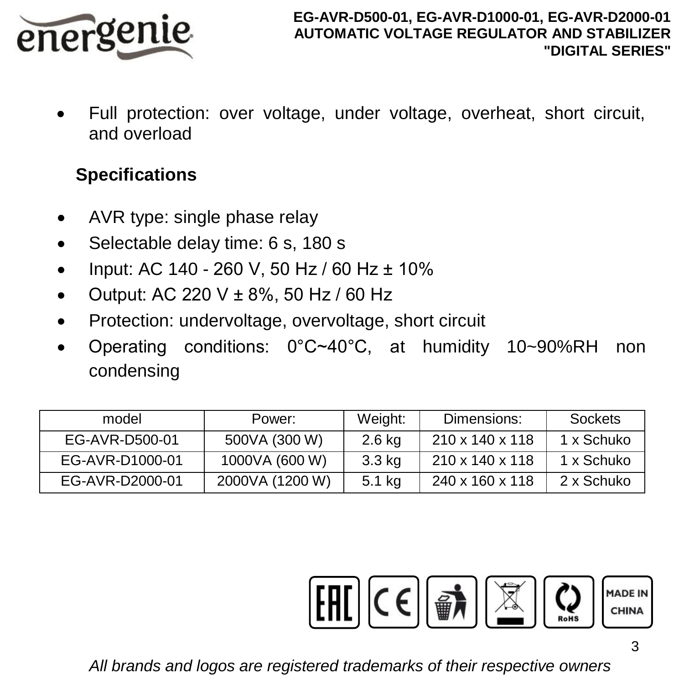

 Full protection: over voltage, under voltage, overheat, short circuit, and overload

# **Specifications**

- AVR type: single phase relay
- Selectable delay time: 6 s, 180 s
- $\bullet$  Input: AC 140 260 V, 50 Hz / 60 Hz  $\pm$  10%
- Output: AC 220 V  $\pm$  8%, 50 Hz / 60 Hz
- Protection: undervoltage, overvoltage, short circuit
- Operating conditions: 0°C~40°C, at humidity 10~90%RH non condensing

| model           | Power:          | Weight: | Dimensions:     | Sockets    |
|-----------------|-----------------|---------|-----------------|------------|
| EG-AVR-D500-01  | 500VA (300 W)   | 2.6 kg  | 210 x 140 x 118 | 1 x Schuko |
| EG-AVR-D1000-01 | 1000VA (600 W)  | 3.3 kg  | 210 x 140 x 118 | 1 x Schuko |
| EG-AVR-D2000-01 | 2000VA (1200 W) | 5.1 kg  | 240 x 160 x 118 | 2 x Schuko |

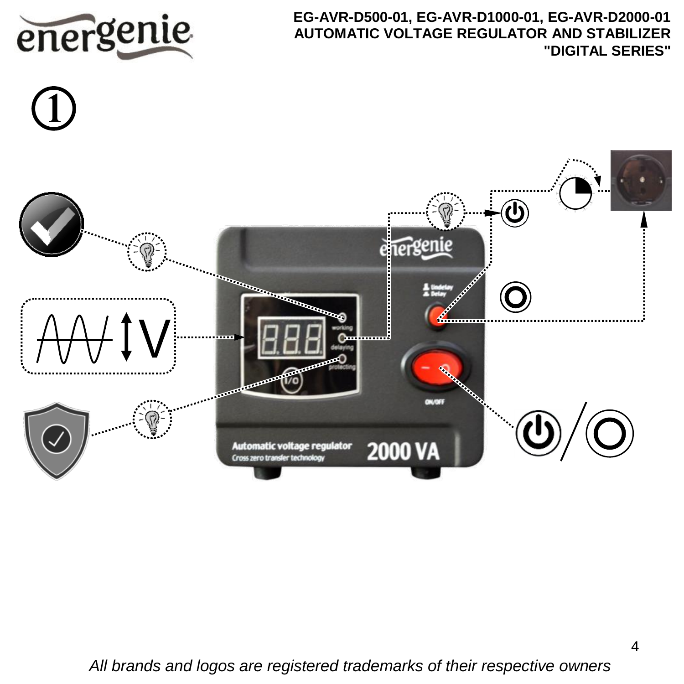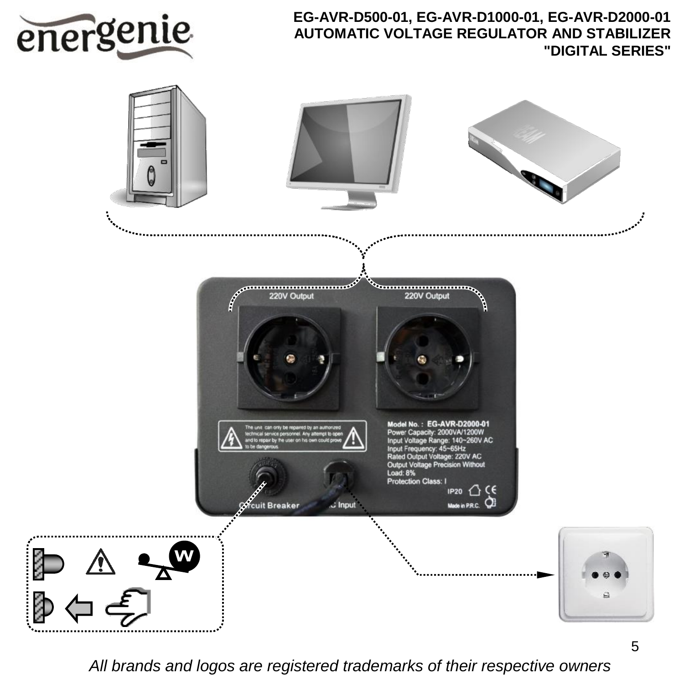

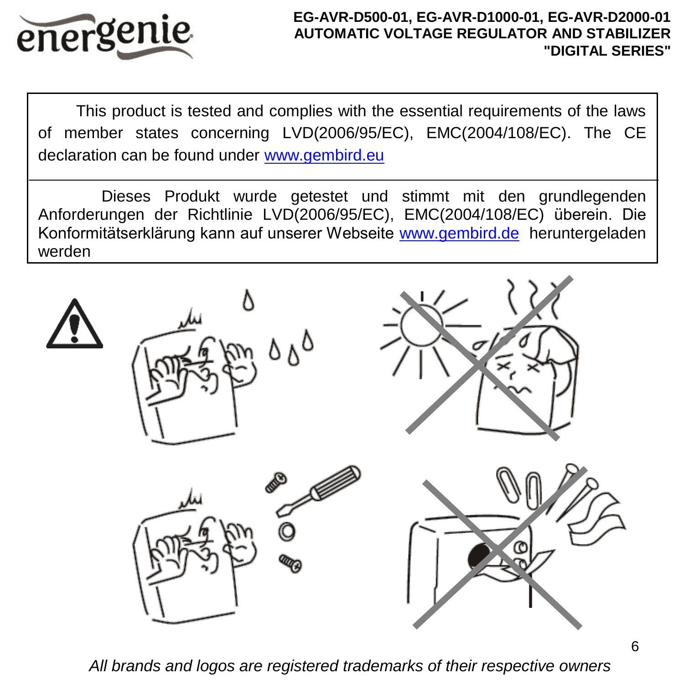

This product is tested and complies with the essential requirements of the laws of member states concerning LVD(2006/95/EC), EMC(2004/108/EC). The CE declaration can be found under [www.gembird.eu](http://www.gembird.eu/)

Dieses Produkt wurde getestet und stimmt mit den grundlegenden Anforderungen der Richtlinie LVD(2006/95/EC), EMC(2004/108/EC) überein. Die Konformitätserklärung kann auf unserer Webseite [www.gembird.de](http://www.gembird.de/) heruntergeladen werden

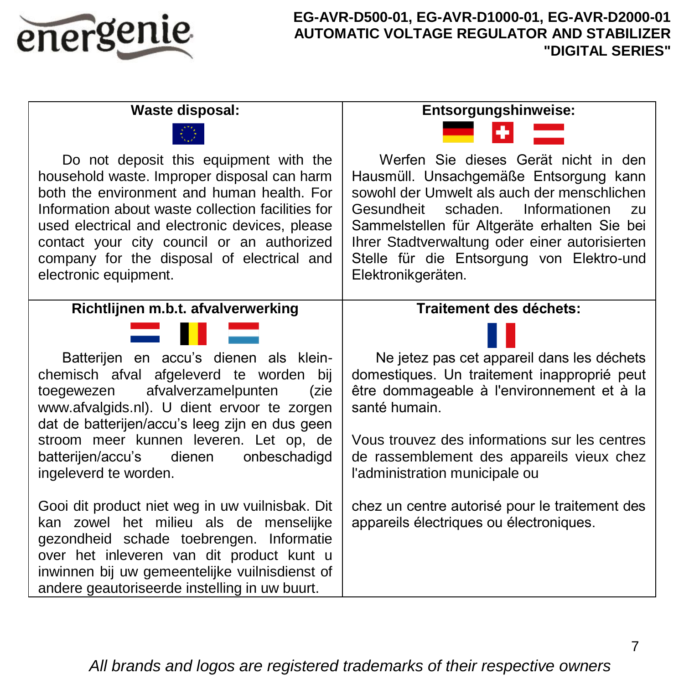

| Waste disposal:                                                                                                                                                                                                                                                                                                                                                 | Entsorgungshinweise:                                                                                                                                                                                                                                                                                                                             |  |
|-----------------------------------------------------------------------------------------------------------------------------------------------------------------------------------------------------------------------------------------------------------------------------------------------------------------------------------------------------------------|--------------------------------------------------------------------------------------------------------------------------------------------------------------------------------------------------------------------------------------------------------------------------------------------------------------------------------------------------|--|
|                                                                                                                                                                                                                                                                                                                                                                 |                                                                                                                                                                                                                                                                                                                                                  |  |
| Do not deposit this equipment with the<br>household waste. Improper disposal can harm<br>both the environment and human health. For<br>Information about waste collection facilities for<br>used electrical and electronic devices, please<br>contact your city council or an authorized<br>company for the disposal of electrical and<br>electronic equipment. | Werfen Sie dieses Gerät nicht in den<br>Hausmüll. Unsachgemäße Entsorgung kann<br>sowohl der Umwelt als auch der menschlichen<br>Gesundheit<br>schaden. Informationen<br>zu<br>Sammelstellen für Altgeräte erhalten Sie bei<br>Ihrer Stadtverwaltung oder einer autorisierten<br>Stelle für die Entsorgung von Elektro-und<br>Elektronikgeräten. |  |
| Richtlijnen m.b.t. afvalverwerking                                                                                                                                                                                                                                                                                                                              | Traitement des déchets:                                                                                                                                                                                                                                                                                                                          |  |
|                                                                                                                                                                                                                                                                                                                                                                 |                                                                                                                                                                                                                                                                                                                                                  |  |
| Batterijen en accu's dienen als klein-<br>chemisch afval afgeleverd te worden bij<br>afvalverzamelpunten<br>toegewezen<br>(zie<br>www.afvalgids.nl). U dient ervoor te zorgen                                                                                                                                                                                   | Ne jetez pas cet appareil dans les déchets<br>domestiques. Un traitement inapproprié peut<br>être dommageable à l'environnement et à la<br>santé humain.                                                                                                                                                                                         |  |
| dat de batterijen/accu's leeg zijn en dus geen<br>stroom meer kunnen leveren. Let op, de<br>batterijen/accu's dienen<br>onbeschadigd<br>ingeleverd te worden.                                                                                                                                                                                                   | Vous trouvez des informations sur les centres<br>de rassemblement des appareils vieux chez<br>l'administration municipale ou                                                                                                                                                                                                                     |  |
| Gooi dit product niet weg in uw vuilnisbak. Dit<br>kan zowel het milieu als de menselijke<br>gezondheid schade toebrengen. Informatie<br>over het inleveren van dit product kunt u<br>inwinnen bij uw gemeentelijke vuilnisdienst of<br>andere geautoriseerde instelling in uw buurt.                                                                           | chez un centre autorisé pour le traitement des<br>appareils électriques ou électroniques.                                                                                                                                                                                                                                                        |  |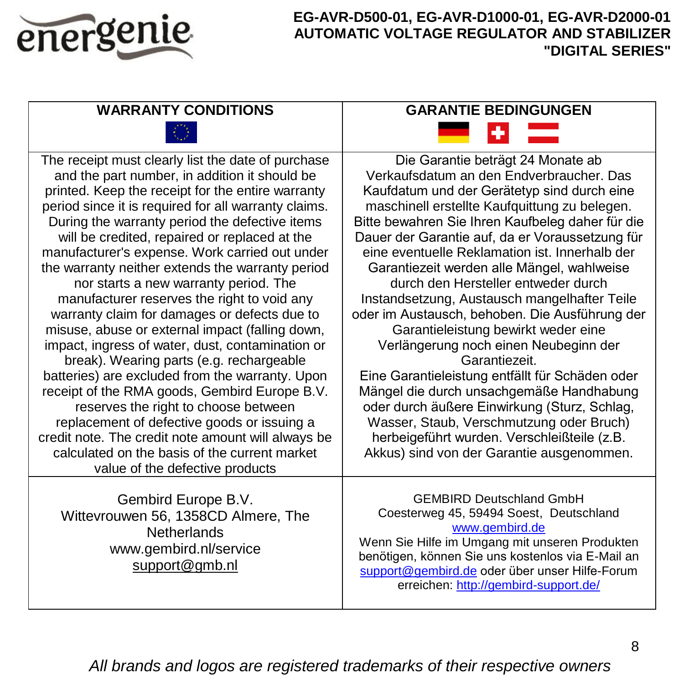

| <b>WARRANTY CONDITIONS</b>                                                                                                                                                                                                                                                                                                                                                                                                                                                                                                                                                                                                                                                                                                                                                                                                                                                                                                                                                                                                                                | <b>GARANTIE BEDINGUNGEN</b>                                                                                                                                                                                                                                                                                                                                                                                                                                                                                                                                                                                                                                                                                                                                                                                                                                                                                           |  |
|-----------------------------------------------------------------------------------------------------------------------------------------------------------------------------------------------------------------------------------------------------------------------------------------------------------------------------------------------------------------------------------------------------------------------------------------------------------------------------------------------------------------------------------------------------------------------------------------------------------------------------------------------------------------------------------------------------------------------------------------------------------------------------------------------------------------------------------------------------------------------------------------------------------------------------------------------------------------------------------------------------------------------------------------------------------|-----------------------------------------------------------------------------------------------------------------------------------------------------------------------------------------------------------------------------------------------------------------------------------------------------------------------------------------------------------------------------------------------------------------------------------------------------------------------------------------------------------------------------------------------------------------------------------------------------------------------------------------------------------------------------------------------------------------------------------------------------------------------------------------------------------------------------------------------------------------------------------------------------------------------|--|
|                                                                                                                                                                                                                                                                                                                                                                                                                                                                                                                                                                                                                                                                                                                                                                                                                                                                                                                                                                                                                                                           |                                                                                                                                                                                                                                                                                                                                                                                                                                                                                                                                                                                                                                                                                                                                                                                                                                                                                                                       |  |
| The receipt must clearly list the date of purchase<br>and the part number, in addition it should be<br>printed. Keep the receipt for the entire warranty<br>period since it is required for all warranty claims.<br>During the warranty period the defective items<br>will be credited, repaired or replaced at the<br>manufacturer's expense. Work carried out under<br>the warranty neither extends the warranty period<br>nor starts a new warranty period. The<br>manufacturer reserves the right to void any<br>warranty claim for damages or defects due to<br>misuse, abuse or external impact (falling down,<br>impact, ingress of water, dust, contamination or<br>break). Wearing parts (e.g. rechargeable<br>batteries) are excluded from the warranty. Upon<br>receipt of the RMA goods, Gembird Europe B.V.<br>reserves the right to choose between<br>replacement of defective goods or issuing a<br>credit note. The credit note amount will always be<br>calculated on the basis of the current market<br>value of the defective products | Die Garantie beträgt 24 Monate ab<br>Verkaufsdatum an den Endverbraucher. Das<br>Kaufdatum und der Gerätetyp sind durch eine<br>maschinell erstellte Kaufquittung zu belegen.<br>Bitte bewahren Sie Ihren Kaufbeleg daher für die<br>Dauer der Garantie auf, da er Voraussetzung für<br>eine eventuelle Reklamation ist. Innerhalb der<br>Garantiezeit werden alle Mängel, wahlweise<br>durch den Hersteller entweder durch<br>Instandsetzung, Austausch mangelhafter Teile<br>oder im Austausch, behoben. Die Ausführung der<br>Garantieleistung bewirkt weder eine<br>Verlängerung noch einen Neubeginn der<br>Garantiezeit.<br>Eine Garantieleistung entfällt für Schäden oder<br>Mängel die durch unsachgemäße Handhabung<br>oder durch äußere Einwirkung (Sturz, Schlag,<br>Wasser, Staub, Verschmutzung oder Bruch)<br>herbeigeführt wurden. Verschleißteile (z.B.<br>Akkus) sind von der Garantie ausgenommen. |  |
| Gembird Europe B.V.<br>Wittevrouwen 56, 1358CD Almere, The<br>Netherlands<br>www.gembird.nl/service<br>support@gmb.nl                                                                                                                                                                                                                                                                                                                                                                                                                                                                                                                                                                                                                                                                                                                                                                                                                                                                                                                                     | <b>GEMBIRD Deutschland GmbH</b><br>Coesterweg 45, 59494 Soest, Deutschland<br>www.gembird.de<br>Wenn Sie Hilfe im Umgang mit unseren Produkten<br>benötigen, können Sie uns kostenlos via E-Mail an<br>support@gembird.de oder über unser Hilfe-Forum<br>erreichen: http://gembird-support.de/                                                                                                                                                                                                                                                                                                                                                                                                                                                                                                                                                                                                                        |  |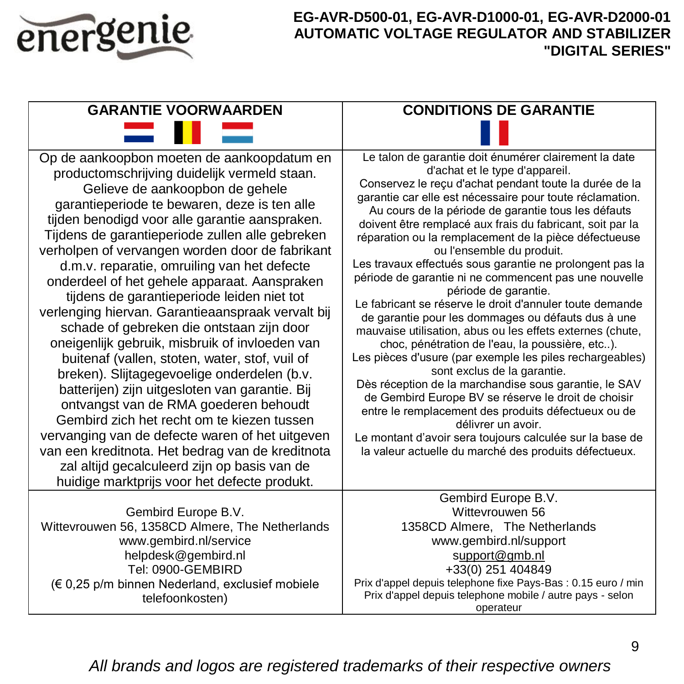

| <b>GARANTIE VOORWAARDEN</b>                                                                                                                                                                                                                                                                                                                                                                                                                                                                                                                                                                                                                                                                                                                                                                                                                                                                                                                                                                                                                                                             | <b>CONDITIONS DE GARANTIE</b>                                                                                                                                                                                                                                                                                                                                                                                                                                                                                                                                                                                                                                                                                                                                                                                                                                                                                                                                                                                                                                                                                                                                                                                       |  |
|-----------------------------------------------------------------------------------------------------------------------------------------------------------------------------------------------------------------------------------------------------------------------------------------------------------------------------------------------------------------------------------------------------------------------------------------------------------------------------------------------------------------------------------------------------------------------------------------------------------------------------------------------------------------------------------------------------------------------------------------------------------------------------------------------------------------------------------------------------------------------------------------------------------------------------------------------------------------------------------------------------------------------------------------------------------------------------------------|---------------------------------------------------------------------------------------------------------------------------------------------------------------------------------------------------------------------------------------------------------------------------------------------------------------------------------------------------------------------------------------------------------------------------------------------------------------------------------------------------------------------------------------------------------------------------------------------------------------------------------------------------------------------------------------------------------------------------------------------------------------------------------------------------------------------------------------------------------------------------------------------------------------------------------------------------------------------------------------------------------------------------------------------------------------------------------------------------------------------------------------------------------------------------------------------------------------------|--|
|                                                                                                                                                                                                                                                                                                                                                                                                                                                                                                                                                                                                                                                                                                                                                                                                                                                                                                                                                                                                                                                                                         |                                                                                                                                                                                                                                                                                                                                                                                                                                                                                                                                                                                                                                                                                                                                                                                                                                                                                                                                                                                                                                                                                                                                                                                                                     |  |
| Op de aankoopbon moeten de aankoopdatum en<br>productomschrijving duidelijk vermeld staan.<br>Gelieve de aankoopbon de gehele<br>garantieperiode te bewaren, deze is ten alle<br>tijden benodigd voor alle garantie aanspraken.<br>Tijdens de garantieperiode zullen alle gebreken<br>verholpen of vervangen worden door de fabrikant<br>d.m.v. reparatie, omruiling van het defecte<br>onderdeel of het gehele apparaat. Aanspraken<br>tijdens de garantieperiode leiden niet tot<br>verlenging hiervan. Garantieaanspraak vervalt bij<br>schade of gebreken die ontstaan zijn door<br>oneigenlijk gebruik, misbruik of invloeden van<br>buitenaf (vallen, stoten, water, stof, vuil of<br>breken). Slijtagegevoelige onderdelen (b.v.<br>batterijen) zijn uitgesloten van garantie. Bij<br>ontvangst van de RMA goederen behoudt<br>Gembird zich het recht om te kiezen tussen<br>vervanging van de defecte waren of het uitgeven<br>van een kreditnota. Het bedrag van de kreditnota<br>zal altijd gecalculeerd zijn op basis van de<br>huidige marktprijs voor het defecte produkt. | Le talon de garantie doit énumérer clairement la date<br>d'achat et le type d'appareil.<br>Conservez le reçu d'achat pendant toute la durée de la<br>garantie car elle est nécessaire pour toute réclamation.<br>Au cours de la période de garantie tous les défauts<br>doivent être remplacé aux frais du fabricant, soit par la<br>réparation ou la remplacement de la pièce défectueuse<br>ou l'ensemble du produit.<br>Les travaux effectués sous garantie ne prolongent pas la<br>période de garantie ni ne commencent pas une nouvelle<br>période de garantie.<br>Le fabricant se réserve le droit d'annuler toute demande<br>de garantie pour les dommages ou défauts dus à une<br>mauvaise utilisation, abus ou les effets externes (chute,<br>choc, pénétration de l'eau, la poussière, etc).<br>Les pièces d'usure (par exemple les piles rechargeables)<br>sont exclus de la garantie.<br>Dès réception de la marchandise sous garantie, le SAV<br>de Gembird Europe BV se réserve le droit de choisir<br>entre le remplacement des produits défectueux ou de<br>délivrer un avoir.<br>Le montant d'avoir sera toujours calculée sur la base de<br>la valeur actuelle du marché des produits défectueux. |  |
|                                                                                                                                                                                                                                                                                                                                                                                                                                                                                                                                                                                                                                                                                                                                                                                                                                                                                                                                                                                                                                                                                         | Gembird Europe B.V.                                                                                                                                                                                                                                                                                                                                                                                                                                                                                                                                                                                                                                                                                                                                                                                                                                                                                                                                                                                                                                                                                                                                                                                                 |  |
| Gembird Europe B.V.<br>Wittevrouwen 56, 1358CD Almere, The Netherlands                                                                                                                                                                                                                                                                                                                                                                                                                                                                                                                                                                                                                                                                                                                                                                                                                                                                                                                                                                                                                  | Wittevrouwen 56<br>1358CD Almere, The Netherlands                                                                                                                                                                                                                                                                                                                                                                                                                                                                                                                                                                                                                                                                                                                                                                                                                                                                                                                                                                                                                                                                                                                                                                   |  |
| www.gembird.nl/service<br>helpdesk@gembird.nl                                                                                                                                                                                                                                                                                                                                                                                                                                                                                                                                                                                                                                                                                                                                                                                                                                                                                                                                                                                                                                           | www.gembird.nl/support<br>support@qmb.nl                                                                                                                                                                                                                                                                                                                                                                                                                                                                                                                                                                                                                                                                                                                                                                                                                                                                                                                                                                                                                                                                                                                                                                            |  |
| Tel: 0900-GEMBIRD                                                                                                                                                                                                                                                                                                                                                                                                                                                                                                                                                                                                                                                                                                                                                                                                                                                                                                                                                                                                                                                                       | +33(0) 251 404849                                                                                                                                                                                                                                                                                                                                                                                                                                                                                                                                                                                                                                                                                                                                                                                                                                                                                                                                                                                                                                                                                                                                                                                                   |  |
| (€ 0,25 p/m binnen Nederland, exclusief mobiele<br>telefoonkosten)                                                                                                                                                                                                                                                                                                                                                                                                                                                                                                                                                                                                                                                                                                                                                                                                                                                                                                                                                                                                                      | Prix d'appel depuis telephone fixe Pays-Bas : 0.15 euro / min<br>Prix d'appel depuis telephone mobile / autre pays - selon<br>operateur                                                                                                                                                                                                                                                                                                                                                                                                                                                                                                                                                                                                                                                                                                                                                                                                                                                                                                                                                                                                                                                                             |  |